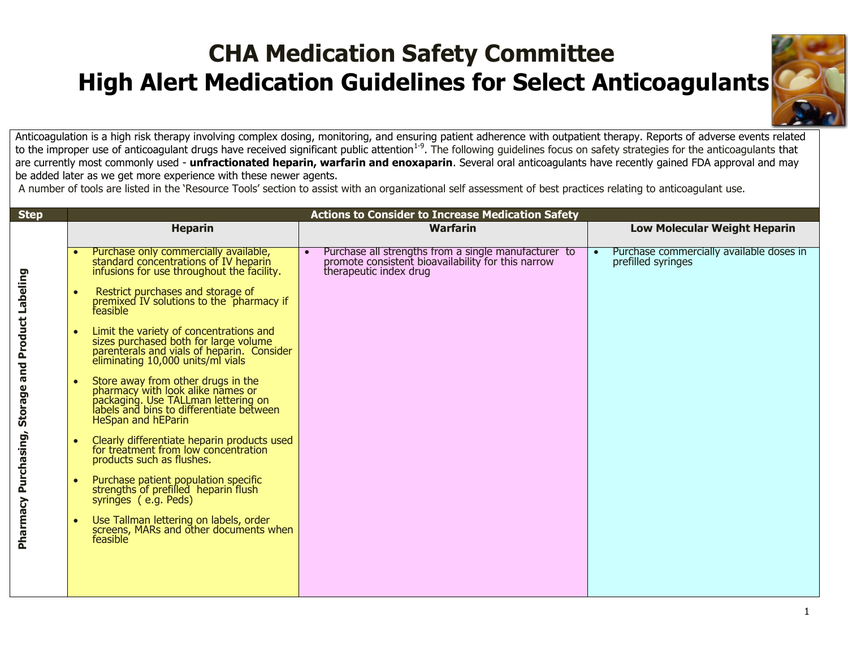

Anticoagulation is a high risk therapy involving complex dosing, monitoring, and ensuring patient adherence with outpatient therapy. Reports of adverse events related to the improper use of anticoagulant drugs have received significant public attention<sup>1-9</sup>. The following guidelines focus on safety strategies for the anticoagulants that are currently most commonly used - **unfractionated heparin, warfarin and enoxaparin**. Several oral anticoagulants have recently gained FDA approval and may be added later as we get more experience with these newer agents.

A number of tools are listed in the 'Resource Tools' section to assist with an organizational self assessment of best practices relating to anticoagulant use.

| <b>Step</b>          | <b>Actions to Consider to Increase Medication Safety</b>                                                                                                                                |                                                                                                                                                   |                                                                             |
|----------------------|-----------------------------------------------------------------------------------------------------------------------------------------------------------------------------------------|---------------------------------------------------------------------------------------------------------------------------------------------------|-----------------------------------------------------------------------------|
|                      | <b>Heparin</b>                                                                                                                                                                          | <b>Warfarin</b>                                                                                                                                   | <b>Low Molecular Weight Heparin</b>                                         |
|                      | Purchase only commercially available,<br>standard concentrations of IV heparin<br>infusions for use throughout the facility.                                                            | Purchase all strengths from a single manufacturer to<br>$\bullet$<br>promote consistent bioavailability for this narrow<br>therapeutic index drug | Purchase commercially available doses in<br>$\bullet$<br>prefilled syringes |
|                      | Restrict purchases and storage of<br>$\bullet$<br>premixed IV solutions to the pharmacy if<br>feasible                                                                                  |                                                                                                                                                   |                                                                             |
| and Product Labeling | Limit the variety of concentrations and<br>$\bullet$<br>sizes purchased both for large volume<br>parenterals and vials of heparin. Consider<br>eliminating 10,000 units/ml vials        |                                                                                                                                                   |                                                                             |
| Storage              | Store away from other drugs in the<br>pharmacy with look alike names or<br>packaging. Use TALLman lettering on<br>labels and bins to differentiate between<br><b>HeSpan and hEParin</b> |                                                                                                                                                   |                                                                             |
|                      | Clearly differentiate heparin products used<br>$\bullet$<br>for treatment from low concentration<br>products such as flushes.                                                           |                                                                                                                                                   |                                                                             |
| Pharmacy Purchasing, | Purchase patient population specific<br>$\bullet$<br>strengths of prefilled heparin flush<br>syringes (e.g. Peds)                                                                       |                                                                                                                                                   |                                                                             |
|                      | Use Tallman lettering on labels, order<br>screens, MARs and other documents when<br>feasible                                                                                            |                                                                                                                                                   |                                                                             |
|                      |                                                                                                                                                                                         |                                                                                                                                                   |                                                                             |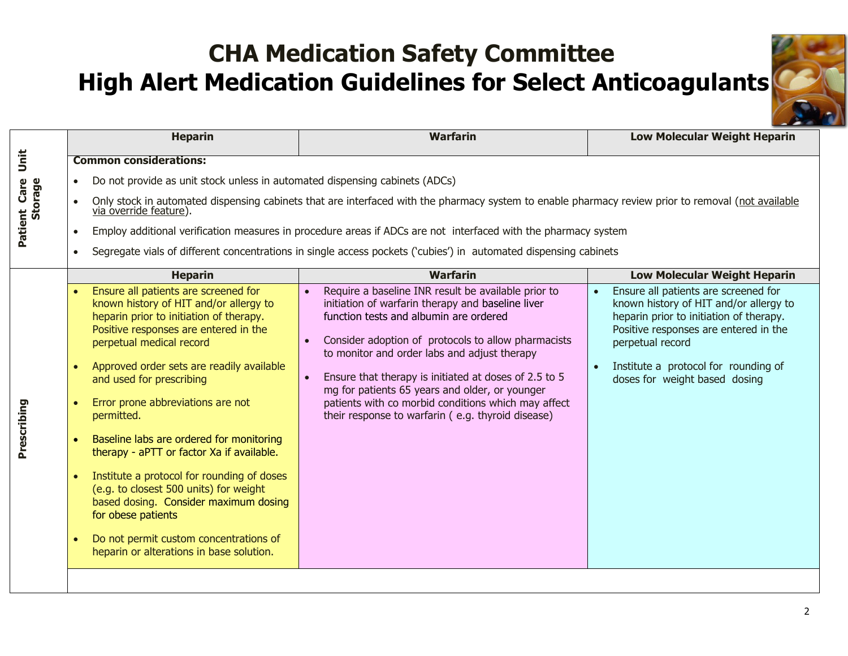

|                         |                                                  | <b>Heparin</b>                                                                                                                                                                                                                                                                                                                                                                                                                                                                                                                                                                                                                                                   | <b>Warfarin</b>                                                                                                                                                                                                                                                                                                                                                                                                                                                                  | <b>Low Molecular Weight Heparin</b>                                                                                                                                                                                                                             |
|-------------------------|--------------------------------------------------|------------------------------------------------------------------------------------------------------------------------------------------------------------------------------------------------------------------------------------------------------------------------------------------------------------------------------------------------------------------------------------------------------------------------------------------------------------------------------------------------------------------------------------------------------------------------------------------------------------------------------------------------------------------|----------------------------------------------------------------------------------------------------------------------------------------------------------------------------------------------------------------------------------------------------------------------------------------------------------------------------------------------------------------------------------------------------------------------------------------------------------------------------------|-----------------------------------------------------------------------------------------------------------------------------------------------------------------------------------------------------------------------------------------------------------------|
| Unit                    |                                                  | <b>Common considerations:</b>                                                                                                                                                                                                                                                                                                                                                                                                                                                                                                                                                                                                                                    |                                                                                                                                                                                                                                                                                                                                                                                                                                                                                  |                                                                                                                                                                                                                                                                 |
|                         | $\bullet$                                        | Do not provide as unit stock unless in automated dispensing cabinets (ADCs)                                                                                                                                                                                                                                                                                                                                                                                                                                                                                                                                                                                      |                                                                                                                                                                                                                                                                                                                                                                                                                                                                                  |                                                                                                                                                                                                                                                                 |
| Patient Care<br>Storage |                                                  | via override feature).                                                                                                                                                                                                                                                                                                                                                                                                                                                                                                                                                                                                                                           | Only stock in automated dispensing cabinets that are interfaced with the pharmacy system to enable pharmacy review prior to removal (not available                                                                                                                                                                                                                                                                                                                               |                                                                                                                                                                                                                                                                 |
|                         | $\bullet$                                        |                                                                                                                                                                                                                                                                                                                                                                                                                                                                                                                                                                                                                                                                  | Employ additional verification measures in procedure areas if ADCs are not interfaced with the pharmacy system                                                                                                                                                                                                                                                                                                                                                                   |                                                                                                                                                                                                                                                                 |
|                         | $\bullet$                                        |                                                                                                                                                                                                                                                                                                                                                                                                                                                                                                                                                                                                                                                                  | Segregate vials of different concentrations in single access pockets ('cubies') in automated dispensing cabinets                                                                                                                                                                                                                                                                                                                                                                 |                                                                                                                                                                                                                                                                 |
|                         |                                                  | <b>Heparin</b>                                                                                                                                                                                                                                                                                                                                                                                                                                                                                                                                                                                                                                                   | <b>Warfarin</b>                                                                                                                                                                                                                                                                                                                                                                                                                                                                  | <b>Low Molecular Weight Heparin</b>                                                                                                                                                                                                                             |
| Prescribing             | $\bullet$<br>$\bullet$<br>$\bullet$<br>$\bullet$ | Ensure all patients are screened for<br>known history of HIT and/or allergy to<br>heparin prior to initiation of therapy.<br>Positive responses are entered in the<br>perpetual medical record<br>Approved order sets are readily available<br>and used for prescribing<br>Error prone abbreviations are not<br>permitted.<br>Baseline labs are ordered for monitoring<br>therapy - aPTT or factor Xa if available.<br>Institute a protocol for rounding of doses<br>(e.g. to closest 500 units) for weight<br>based dosing. Consider maximum dosing<br>for obese patients<br>Do not permit custom concentrations of<br>heparin or alterations in base solution. | Require a baseline INR result be available prior to<br>initiation of warfarin therapy and baseline liver<br>function tests and albumin are ordered<br>Consider adoption of protocols to allow pharmacists<br>to monitor and order labs and adjust therapy<br>Ensure that therapy is initiated at doses of 2.5 to 5<br>mg for patients 65 years and older, or younger<br>patients with co morbid conditions which may affect<br>their response to warfarin (e.g. thyroid disease) | Ensure all patients are screened for<br>known history of HIT and/or allergy to<br>heparin prior to initiation of therapy.<br>Positive responses are entered in the<br>perpetual record<br>Institute a protocol for rounding of<br>doses for weight based dosing |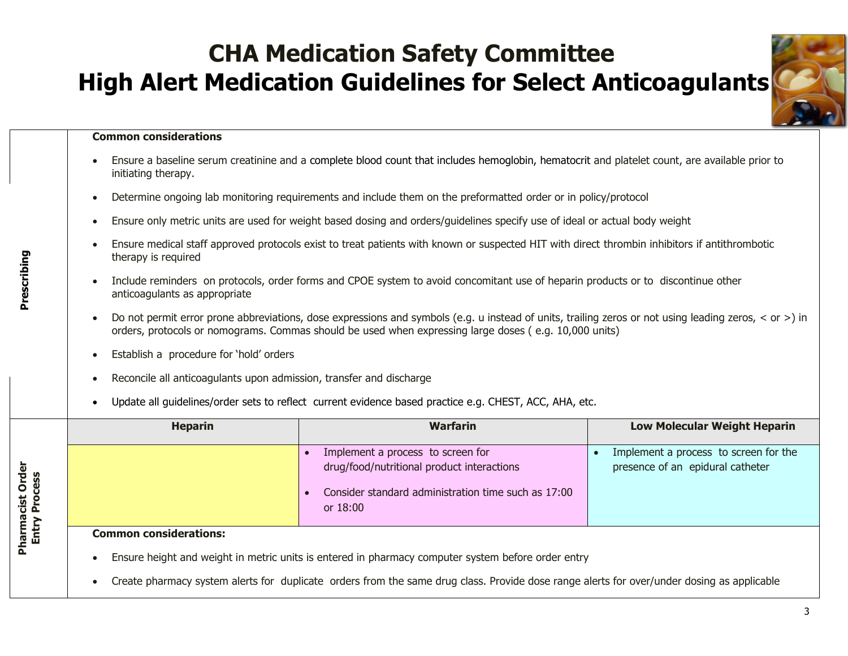

### **Common considerations**

Prescribing **Prescribing**

- Ensure a baseline serum creatinine and a complete blood count that includes hemoglobin, hematocrit and platelet count, are available prior to initiating therapy.
- Determine ongoing lab monitoring requirements and include them on the preformatted order or in policy/protocol
- Ensure only metric units are used for weight based dosing and orders/guidelines specify use of ideal or actual body weight
- Ensure medical staff approved protocols exist to treat patients with known or suspected HIT with direct thrombin inhibitors if antithrombotic therapy is required
- Include reminders on protocols, order forms and CPOE system to avoid concomitant use of heparin products or to discontinue other anticoagulants as appropriate
- Do not permit error prone abbreviations, dose expressions and symbols (e.g. u instead of units, trailing zeros or not using leading zeros, < or >) in orders, protocols or nomograms. Commas should be used when expressing large doses ( e.g. 10,000 units)
- Establish a procedure for 'hold' orders
- Reconcile all anticoagulants upon admission, transfer and discharge
- Update all guidelines/order sets to reflect current evidence based practice e.g. CHEST, ACC, AHA, etc.

|                               | <b>Heparin</b>                | <b>Warfarin</b>                                                                                                                                    | <b>Low Molecular Weight Heparin</b>                                       |
|-------------------------------|-------------------------------|----------------------------------------------------------------------------------------------------------------------------------------------------|---------------------------------------------------------------------------|
| Order<br>cess<br><b>Picie</b> |                               | Implement a process to screen for<br>drug/food/nutritional product interactions<br>Consider standard administration time such as 17:00<br>or 18:00 | Implement a process to screen for the<br>presence of an epidural catheter |
| Pharma<br>Entry               | <b>Common considerations:</b> |                                                                                                                                                    |                                                                           |
|                               |                               | Ensure height and weight in metric units is entered in pharmacy computer system before order entry                                                 |                                                                           |

Create pharmacy system alerts for duplicate orders from the same drug class. Provide dose range alerts for over/under dosing as applicable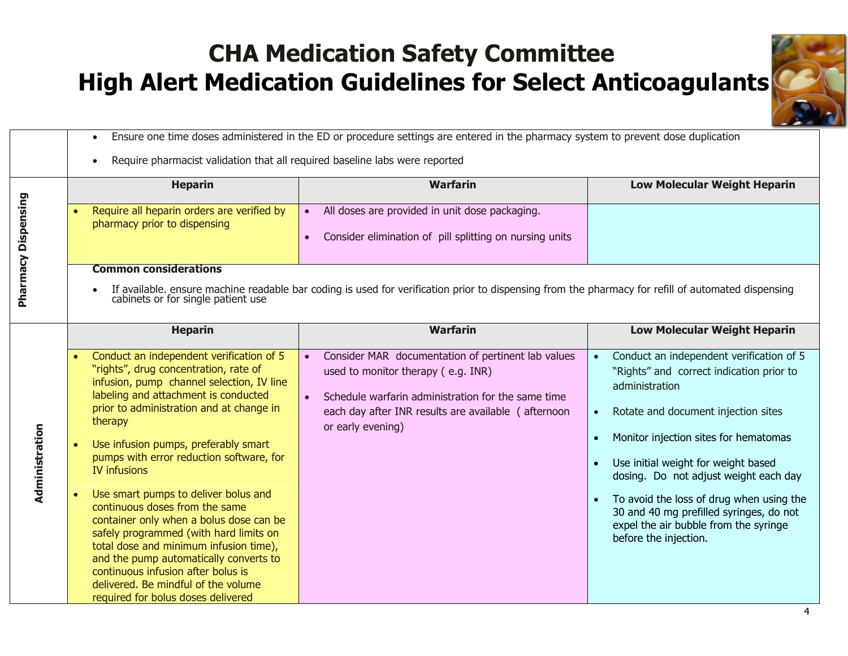

Ensure one time doses administered in the ED or procedure settings are entered in the pharmacy system to prevent dose duplication

Require pharmacist validation that all required baseline labs were reported

|                            | <b>Heparin</b>                                                                                                                                                                                                                                                                                                                                                                                                                                                                                                                                                                                                                                                                                                 | <b>Warfarin</b>                                                                                                                                                                                                                         | <b>Low Molecular Weight Heparin</b>                                                                                                                                                                                                                                                                                                                                                                                             |  |  |
|----------------------------|----------------------------------------------------------------------------------------------------------------------------------------------------------------------------------------------------------------------------------------------------------------------------------------------------------------------------------------------------------------------------------------------------------------------------------------------------------------------------------------------------------------------------------------------------------------------------------------------------------------------------------------------------------------------------------------------------------------|-----------------------------------------------------------------------------------------------------------------------------------------------------------------------------------------------------------------------------------------|---------------------------------------------------------------------------------------------------------------------------------------------------------------------------------------------------------------------------------------------------------------------------------------------------------------------------------------------------------------------------------------------------------------------------------|--|--|
|                            | Require all heparin orders are verified by                                                                                                                                                                                                                                                                                                                                                                                                                                                                                                                                                                                                                                                                     | All doses are provided in unit dose packaging.                                                                                                                                                                                          |                                                                                                                                                                                                                                                                                                                                                                                                                                 |  |  |
| <b>Pharmacy Dispensing</b> | pharmacy prior to dispensing                                                                                                                                                                                                                                                                                                                                                                                                                                                                                                                                                                                                                                                                                   | Consider elimination of pill splitting on nursing units                                                                                                                                                                                 |                                                                                                                                                                                                                                                                                                                                                                                                                                 |  |  |
|                            | <b>Common considerations</b>                                                                                                                                                                                                                                                                                                                                                                                                                                                                                                                                                                                                                                                                                   |                                                                                                                                                                                                                                         |                                                                                                                                                                                                                                                                                                                                                                                                                                 |  |  |
|                            |                                                                                                                                                                                                                                                                                                                                                                                                                                                                                                                                                                                                                                                                                                                |                                                                                                                                                                                                                                         |                                                                                                                                                                                                                                                                                                                                                                                                                                 |  |  |
|                            | If available. ensure machine readable bar coding is used for verification prior to dispensing from the pharmacy for refill of automated dispensing<br>cabinets or for single patient use                                                                                                                                                                                                                                                                                                                                                                                                                                                                                                                       |                                                                                                                                                                                                                                         |                                                                                                                                                                                                                                                                                                                                                                                                                                 |  |  |
|                            | <b>Heparin</b>                                                                                                                                                                                                                                                                                                                                                                                                                                                                                                                                                                                                                                                                                                 | <b>Warfarin</b>                                                                                                                                                                                                                         | <b>Low Molecular Weight Heparin</b>                                                                                                                                                                                                                                                                                                                                                                                             |  |  |
| Administration             | Conduct an independent verification of 5<br>"rights", drug concentration, rate of<br>infusion, pump channel selection, IV line<br>labeling and attachment is conducted<br>prior to administration and at change in<br>therapy<br>Use infusion pumps, preferably smart<br>pumps with error reduction software, for<br><b>IV infusions</b><br>Use smart pumps to deliver bolus and<br>continuous doses from the same<br>container only when a bolus dose can be<br>safely programmed (with hard limits on<br>total dose and minimum infusion time),<br>and the pump automatically converts to<br>continuous infusion after bolus is<br>delivered. Be mindful of the volume<br>required for bolus doses delivered | Consider MAR documentation of pertinent lab values<br>$\bullet$<br>used to monitor therapy (e.g. INR)<br>Schedule warfarin administration for the same time<br>each day after INR results are available (afternoon<br>or early evening) | Conduct an independent verification of 5<br>"Rights" and correct indication prior to<br>administration<br>Rotate and document injection sites<br>Monitor injection sites for hematomas<br>Use initial weight for weight based<br>dosing. Do not adjust weight each day<br>To avoid the loss of drug when using the<br>30 and 40 mg prefilled syringes, do not<br>expel the air bubble from the syringe<br>before the injection. |  |  |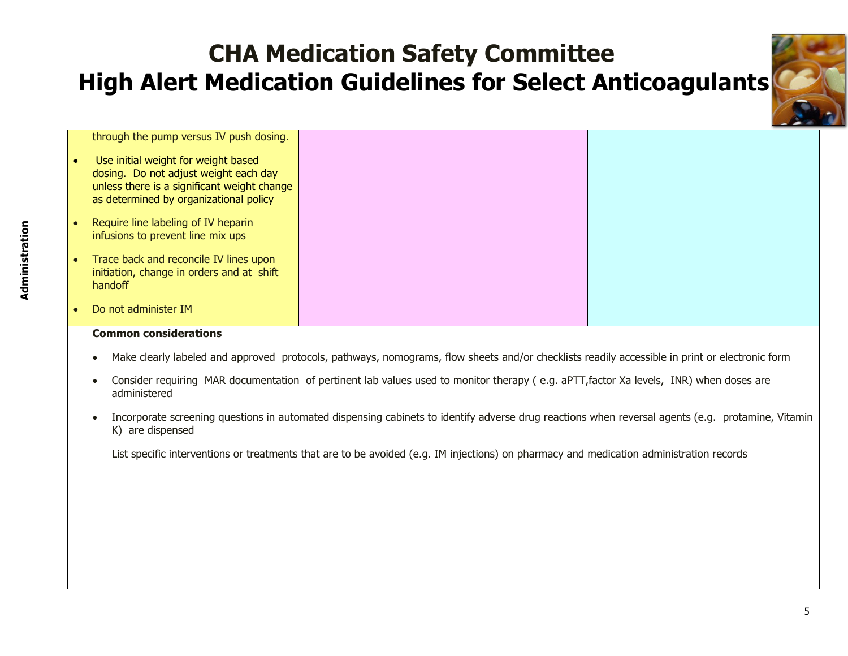

| through the pump versus IV push dosing.                                                                                                                               |  |
|-----------------------------------------------------------------------------------------------------------------------------------------------------------------------|--|
| Use initial weight for weight based<br>dosing. Do not adjust weight each day<br>unless there is a significant weight change<br>as determined by organizational policy |  |
| Require line labeling of IV heparin<br>infusions to prevent line mix ups                                                                                              |  |
| Trace back and reconcile IV lines upon<br>initiation, change in orders and at shift<br>handoff                                                                        |  |
| Do not administer IM                                                                                                                                                  |  |

### **Common considerations**

- Make clearly labeled and approved protocols, pathways, nomograms, flow sheets and/or checklists readily accessible in print or electronic form
- Consider requiring MAR documentation of pertinent lab values used to monitor therapy ( e.g. aPTT,factor Xa levels, INR) when doses are administered
- Incorporate screening questions in automated dispensing cabinets to identify adverse drug reactions when reversal agents (e.g. protamine, Vitamin K) are dispensed

List specific interventions or treatments that are to be avoided (e.g. IM injections) on pharmacy and medication administration records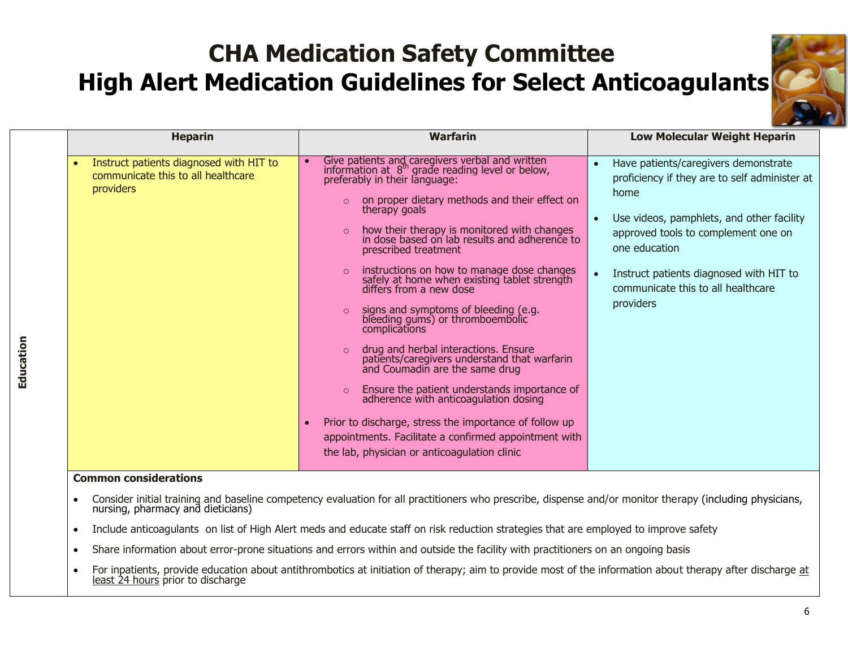

| <b>Heparin</b>                                                                                                                | <b>Warfarin</b>                                                                                                                                                                                                                                                                                                                                                                                                                                                                                                                                                                                                                                                                                                                                                                                                                                                                                                                                                                                   | <b>Low Molecular Weight Heparin</b>                                                                                                                                                                                                                                                                                        |
|-------------------------------------------------------------------------------------------------------------------------------|---------------------------------------------------------------------------------------------------------------------------------------------------------------------------------------------------------------------------------------------------------------------------------------------------------------------------------------------------------------------------------------------------------------------------------------------------------------------------------------------------------------------------------------------------------------------------------------------------------------------------------------------------------------------------------------------------------------------------------------------------------------------------------------------------------------------------------------------------------------------------------------------------------------------------------------------------------------------------------------------------|----------------------------------------------------------------------------------------------------------------------------------------------------------------------------------------------------------------------------------------------------------------------------------------------------------------------------|
| Instruct patients diagnosed with HIT to<br>communicate this to all healthcare<br><i>providers</i><br>ومراجع المستورد الماليون | Give patients and caregivers verbal and written<br>information at $8th$ grade reading level or below,<br>preferably in their language:<br>on proper dietary methods and their effect on<br>$\circ$<br>therapy goals<br>how their therapy is monitored with changes<br>$\Omega$<br>in dose based on lab results and adherence to<br>prescribed treatment<br>instructions on how to manage dose changes<br>safely at home when existing tablet strength<br>differs from a new dose<br>signs and symptoms of bleeding (e.g. bleeding gums) or thromboembolic<br>$\circ$<br>complications<br>drug and herbal interactions. Ensure<br>patients/caregivers understand that warfarin<br>and Coumadin are the same drug<br>$\circ$<br>Ensure the patient understands importance of<br>adherence with anticoagulation dosing<br>$\circ$<br>Prior to discharge, stress the importance of follow up<br>appointments. Facilitate a confirmed appointment with<br>the lab, physician or anticoagulation clinic | Have patients/caregivers demonstrate<br>proficiency if they are to self administer at<br>home<br>Use videos, pamphlets, and other facility<br>$\bullet$<br>approved tools to complement one on<br>one education<br>Instruct patients diagnosed with HIT to<br>$\bullet$<br>communicate this to all healthcare<br>providers |

### **Common considerations**

- Consider initial training and baseline competency evaluation for all practitioners who prescribe, dispense and/or monitor therapy (including physicians, nursing, pharmacy and dieticians)
- Include anticoagulants on list of High Alert meds and educate staff on risk reduction strategies that are employed to improve safety
- Share information about error-prone situations and errors within and outside the facility with practitioners on an ongoing basis
- For inpatients, provide education about antithrombotics at initiation of therapy; aim to provide most of the information about therapy after discharge at least 24 hours prior to discharge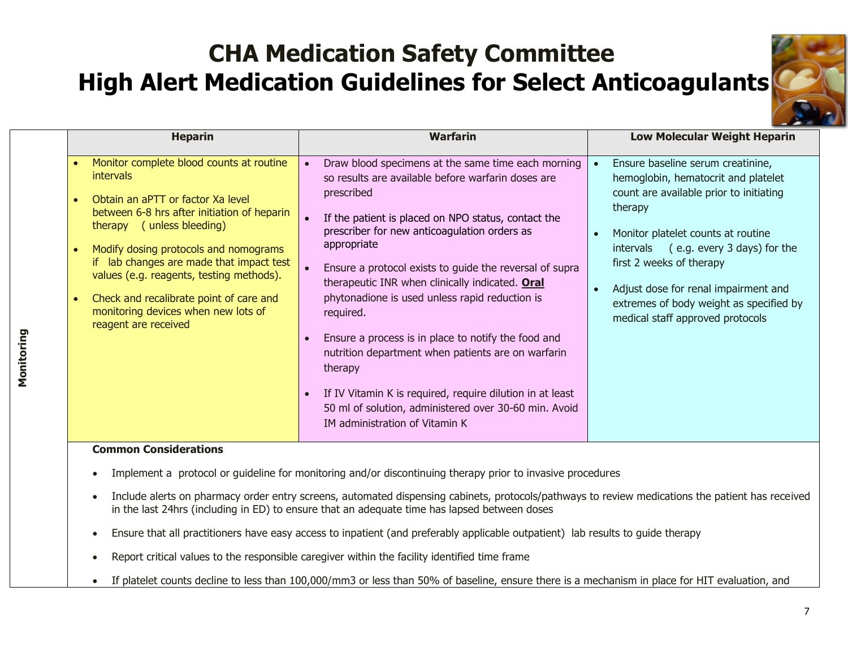

| <b>Heparin</b>                                                                                                                                                                                                                                                                                                                                                                                                                                                               | <b>Warfarin</b>                                                                                                                                                                                                                                                                                                                                                                                                                                                                                                                                                                                                                                                                                                                     | <b>Low Molecular Weight Heparin</b>                                                                                                                                                                                                                                                                                                                              |
|------------------------------------------------------------------------------------------------------------------------------------------------------------------------------------------------------------------------------------------------------------------------------------------------------------------------------------------------------------------------------------------------------------------------------------------------------------------------------|-------------------------------------------------------------------------------------------------------------------------------------------------------------------------------------------------------------------------------------------------------------------------------------------------------------------------------------------------------------------------------------------------------------------------------------------------------------------------------------------------------------------------------------------------------------------------------------------------------------------------------------------------------------------------------------------------------------------------------------|------------------------------------------------------------------------------------------------------------------------------------------------------------------------------------------------------------------------------------------------------------------------------------------------------------------------------------------------------------------|
| Monitor complete blood counts at routine<br>$\bullet$<br><i>intervals</i><br>Obtain an aPTT or factor Xa level<br>$\bullet$<br>between 6-8 hrs after initiation of heparin<br>therapy (unless bleeding)<br>Modify dosing protocols and nomograms<br>$\bullet$<br>if lab changes are made that impact test<br>values (e.g. reagents, testing methods).<br>Check and recalibrate point of care and<br>$\bullet$<br>monitoring devices when new lots of<br>reagent are received | Draw blood specimens at the same time each morning<br>so results are available before warfarin doses are<br>prescribed<br>If the patient is placed on NPO status, contact the<br>prescriber for new anticoagulation orders as<br>appropriate<br>Ensure a protocol exists to guide the reversal of supra<br>therapeutic INR when clinically indicated. Oral<br>phytonadione is used unless rapid reduction is<br>required.<br>Ensure a process is in place to notify the food and<br>$\bullet$<br>nutrition department when patients are on warfarin<br>therapy<br>If IV Vitamin K is required, require dilution in at least<br>$\bullet$<br>50 ml of solution, administered over 30-60 min. Avoid<br>IM administration of Vitamin K | Ensure baseline serum creatinine,<br>hemoglobin, hematocrit and platelet<br>count are available prior to initiating<br>therapy<br>Monitor platelet counts at routine<br>intervals (e.g. every 3 days) for the<br>first 2 weeks of therapy<br>Adjust dose for renal impairment and<br>extremes of body weight as specified by<br>medical staff approved protocols |

### **Common Considerations**

- Implement a protocol or guideline for monitoring and/or discontinuing therapy prior to invasive procedures
- Include alerts on pharmacy order entry screens, automated dispensing cabinets, protocols/pathways to review medications the patient has received in the last 24hrs (including in ED) to ensure that an adequate time has lapsed between doses
- Ensure that all practitioners have easy access to inpatient (and preferably applicable outpatient) lab results to guide therapy
- Report critical values to the responsible caregiver within the facility identified time frame
- If platelet counts decline to less than 100,000/mm3 or less than 50% of baseline, ensure there is a mechanism in place for HIT evaluation, and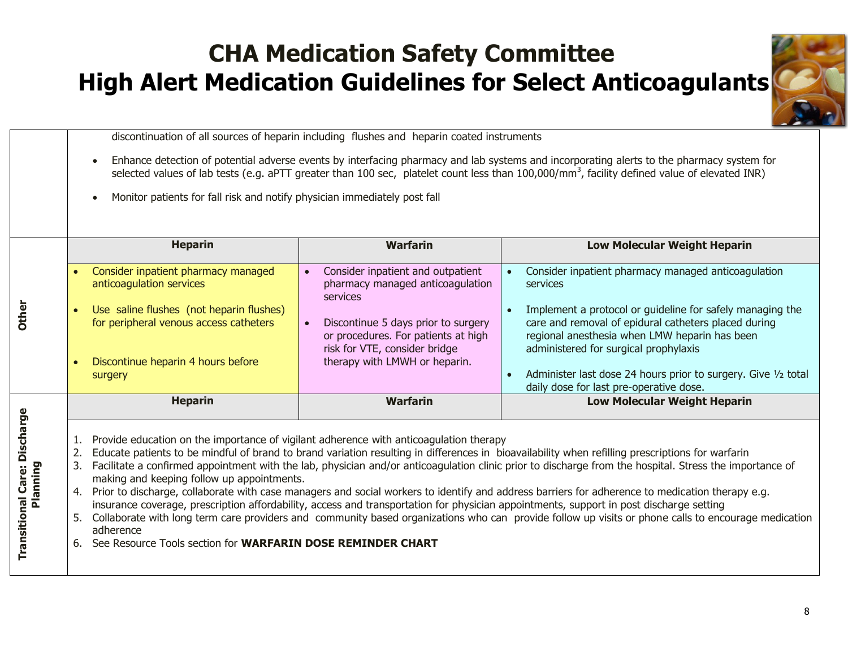

discontinuation of all sources of heparin including flushes and heparin coated instruments

- Enhance detection of potential adverse events by interfacing pharmacy and lab systems and incorporating alerts to the pharmacy system for selected values of lab tests (e.g. aPTT greater than 100 sec, platelet count less than 100,000/mm<sup>3</sup>, facility defined value of elevated INR)
- Monitor patients for fall risk and notify physician immediately post fall

|              | <b>Heparin</b>                                                                     | <b>Warfarin</b>                                                                                                          | <b>Low Molecular Weight Heparin</b>                                                                                                                                                                         |
|--------------|------------------------------------------------------------------------------------|--------------------------------------------------------------------------------------------------------------------------|-------------------------------------------------------------------------------------------------------------------------------------------------------------------------------------------------------------|
|              | Consider inpatient pharmacy managed<br>anticoagulation services                    | Consider inpatient and outpatient<br>$\bullet$<br>pharmacy managed anticoagulation<br>services                           | Consider inpatient pharmacy managed anticoagulation<br>services                                                                                                                                             |
| <b>Other</b> | Use saline flushes (not heparin flushes)<br>for peripheral venous access catheters | Discontinue 5 days prior to surgery<br>$\bullet$<br>or procedures. For patients at high<br>risk for VTE, consider bridge | Implement a protocol or guideline for safely managing the<br>care and removal of epidural catheters placed during<br>regional anesthesia when LMW heparin has been<br>administered for surgical prophylaxis |
|              | Discontinue heparin 4 hours before<br>surgery                                      | therapy with LMWH or heparin.                                                                                            | Administer last dose 24 hours prior to surgery. Give 1/2 total<br>daily dose for last pre-operative dose.                                                                                                   |
|              | <b>Heparin</b>                                                                     | <b>Warfarin</b>                                                                                                          | <b>Low Molecular Weight Heparin</b>                                                                                                                                                                         |
| Discharg     |                                                                                    |                                                                                                                          |                                                                                                                                                                                                             |